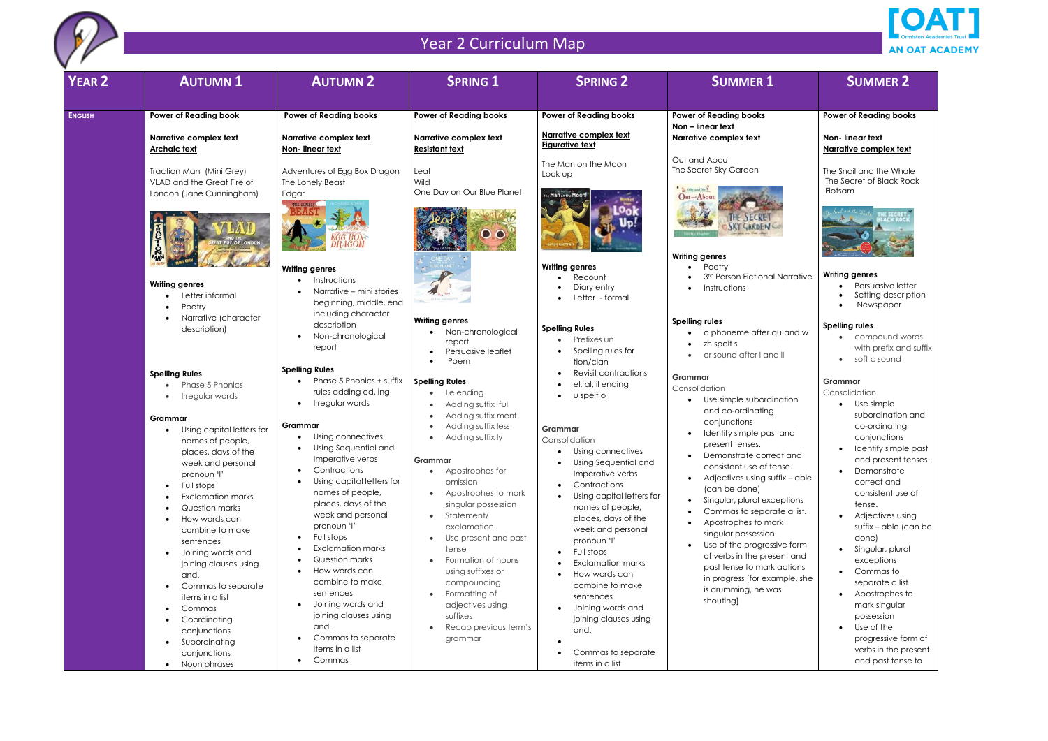

| <b>YEAR 2</b>  | <b>AUTUMN1</b>                                                                                                                                                                                                                                                                                                                                                                         | <b>AUTUMN 2</b>                                                                                                                                                                                                                                                                                                                                                                                       | <b>SPRING 1</b>                                                                                                                                                                                                                                                                                                                                   | <b>SPRING 2</b>                                                                                                                                                                                                                                                                                                                                                  | <b>SUMMER 1</b>                                                                                                                                                                                                                                                                                                                                                                                                                                                                            | <b>SUMMER 2</b>                                                                                                                                                                                                                                                                                                            |
|----------------|----------------------------------------------------------------------------------------------------------------------------------------------------------------------------------------------------------------------------------------------------------------------------------------------------------------------------------------------------------------------------------------|-------------------------------------------------------------------------------------------------------------------------------------------------------------------------------------------------------------------------------------------------------------------------------------------------------------------------------------------------------------------------------------------------------|---------------------------------------------------------------------------------------------------------------------------------------------------------------------------------------------------------------------------------------------------------------------------------------------------------------------------------------------------|------------------------------------------------------------------------------------------------------------------------------------------------------------------------------------------------------------------------------------------------------------------------------------------------------------------------------------------------------------------|--------------------------------------------------------------------------------------------------------------------------------------------------------------------------------------------------------------------------------------------------------------------------------------------------------------------------------------------------------------------------------------------------------------------------------------------------------------------------------------------|----------------------------------------------------------------------------------------------------------------------------------------------------------------------------------------------------------------------------------------------------------------------------------------------------------------------------|
| <b>ENGLISH</b> | <b>Power of Reading book</b>                                                                                                                                                                                                                                                                                                                                                           | <b>Power of Reading books</b>                                                                                                                                                                                                                                                                                                                                                                         | <b>Power of Reading books</b>                                                                                                                                                                                                                                                                                                                     | <b>Power of Reading books</b>                                                                                                                                                                                                                                                                                                                                    | <b>Power of Reading books</b>                                                                                                                                                                                                                                                                                                                                                                                                                                                              | <b>Power of Reading boo</b>                                                                                                                                                                                                                                                                                                |
|                | Narrative complex text<br><b>Archaic text</b>                                                                                                                                                                                                                                                                                                                                          | Narrative complex text<br>Non-linear text                                                                                                                                                                                                                                                                                                                                                             | Narrative complex text<br><b>Resistant text</b>                                                                                                                                                                                                                                                                                                   | Narrative complex text<br><b>Figurative text</b>                                                                                                                                                                                                                                                                                                                 | Non - linear text<br>Narrative complex text                                                                                                                                                                                                                                                                                                                                                                                                                                                | Non-linear text<br>Narrative complex tex                                                                                                                                                                                                                                                                                   |
|                | Traction Man (Mini Grey)<br>VLAD and the Great Fire of<br>London (Jane Cunningham)<br>$220 - 1024$<br><b>Jurist</b>                                                                                                                                                                                                                                                                    | Adventures of Egg Box Dragon<br>The Lonely Beast<br>Edgar<br>THE LONELY                                                                                                                                                                                                                                                                                                                               | Leaf<br>Wild<br>One Day on Our Blue Planet<br>O<br>$\bullet$                                                                                                                                                                                                                                                                                      | The Man on the Moon<br>Look up<br>The Man on the Moon!                                                                                                                                                                                                                                                                                                           | Out and About<br>The Secret Sky Garden<br><b>SECRETARY</b><br>Out-About<br><b>Writing genres</b>                                                                                                                                                                                                                                                                                                                                                                                           | The Snail and the Wha<br>The Secret of Black Ro<br>Flotsam<br>HE SECRET.<br>LACK HOCH                                                                                                                                                                                                                                      |
|                | <b>Writing genres</b><br>Letter informal<br>Poetry<br>Narrative (character<br>description)                                                                                                                                                                                                                                                                                             | <b>Writing genres</b><br>Instructions<br>Narrative – mini stories<br>beginning, middle, end<br>including character<br>description<br>Non-chronological<br>report                                                                                                                                                                                                                                      | <b>Writing genres</b><br>Non-chronological<br>report<br>Persuasive leaflet                                                                                                                                                                                                                                                                        | <b>Writing genres</b><br>Recount<br>Diary entry<br>Letter - formal<br><b>Spelling Rules</b><br>Prefixes un<br>Spelling rules for                                                                                                                                                                                                                                 | Poetry<br>3rd Person Fictional Narrative<br>instructions<br><b>Spelling rules</b><br>o phoneme after qu and w<br>zh spelt s<br>or sound after I and II                                                                                                                                                                                                                                                                                                                                     | <b>Writing genres</b><br>Persuasive lett<br>Setting descrip<br>Newspaper<br><b>Spelling rules</b><br>compound wo<br>with prefix and                                                                                                                                                                                        |
|                | <b>Spelling Rules</b><br>Phase 5 Phonics<br>Irregular words<br>$\bullet$<br>Grammar<br>Using capital letters for<br>names of people,<br>places, days of the<br>week and personal<br>pronoun 'l'<br>Full stops<br>$\bullet$<br><b>Exclamation marks</b><br><b>Question marks</b><br>How words can<br>combine to make<br>sentences<br>Joining words and<br>joining clauses using<br>and. | <b>Spelling Rules</b><br>Phase 5 Phonics + suffix<br>rules adding ed, ing,<br>Irregular words<br>Grammar<br>Using connectives<br>Using Sequential and<br>Imperative verbs<br>Contractions<br>Using capital letters for<br>names of people,<br>places, days of the<br>week and personal<br>pronoun 'l'<br>Full stops<br><b>Exclamation marks</b><br>Question marks<br>How words can<br>combine to make | Poem<br><b>Spelling Rules</b><br>Le ending<br>Adding suffix ful<br>Adding suffix ment<br>Adding suffix less<br>Adding suffix ly<br>Grammar<br>• Apostrophes for<br>omission<br>Apostrophes to mark<br>singular possession<br>Statement/<br>exclamation<br>Use present and past<br>tense<br>Formation of nouns<br>using suffixes or<br>compounding | tion/cian<br><b>Revisit contractions</b><br>el, al, il ending<br>u spelt o<br>Grammar<br>Consolidation<br>• Using connectives<br>Using Sequential and<br>Imperative verbs<br>Contractions<br>Using capital letters for<br>names of people,<br>places, days of the<br>week and personal<br>pronoun 'l'<br>Full stops<br><b>Exclamation marks</b><br>How words can | Grammar<br>Consolidation<br>Use simple subordination<br>and co-ordinating<br>conjunctions<br>Identify simple past and<br>present tenses.<br>Demonstrate correct and<br>consistent use of tense.<br>Adjectives using suffix - able<br>(can be done)<br>Singular, plural exceptions<br>Commas to separate a list.<br>Apostrophes to mark<br>singular possession<br>Use of the progressive form<br>of verbs in the present and<br>past tense to mark actions<br>in progress [for example, she | • soft c sound<br>Grammar<br>Consolidation<br>Use simple<br>subordination<br>co-ordinating<br>conjunctions<br>Identify simple<br>and present to<br>Demonstrate<br>correct and<br>consistent use<br>tense.<br>Adjectives usir<br>suffix – able (c<br>done)<br>Singular, plura<br>exceptions<br>Commas to<br>separate a list |
|                | Commas to separate<br>$\bullet$<br>items in a list<br>Commas<br>$\bullet$<br>Coordinating<br>conjunctions<br>Subordinating<br>$\bullet$<br>conjunctions<br>Noun phrases<br>$\bullet$                                                                                                                                                                                                   | sentences<br>Joining words and<br>joining clauses using<br>and.<br>Commas to separate<br>items in a list<br>Commas                                                                                                                                                                                                                                                                                    | Formatting of<br>adjectives using<br>suffixes<br>Recap previous term's<br>grammar                                                                                                                                                                                                                                                                 | combine to make<br>sentences<br>Joining words and<br>joining clauses using<br>and.<br>Commas to separate<br>items in a list                                                                                                                                                                                                                                      | is drumming, he was<br>shouting]                                                                                                                                                                                                                                                                                                                                                                                                                                                           | Apostrophes t<br>mark singular<br>possession<br>Use of the<br>progressive fo<br>verbs in the pr<br>and past tense                                                                                                                                                                                                          |



|  |  | <b>SUMMER 2</b> |  |
|--|--|-----------------|--|
|  |  |                 |  |

- compound words with prefix and suffix
- soft c sound

#### **Power of Reading books**

**Non- linear text Narrative complex text**

The Snail and the Whale The Secret of Black Rock Flotsam



#### **Writing genres**

- Persuasive letter
- Setting description
- Newspaper

| ation     | Use simple<br>subordination and    |
|-----------|------------------------------------|
| and       | co-ordinating<br>conjunctions      |
| t and     | Identify simple past               |
| ise.      | and present tenses.<br>Demonstrate |
| ix – able | correct and                        |
|           | consistent use of                  |
| ptions    | tense.                             |
| e a list. | Adjectives using                   |
| Ć         | suffix – able (can be              |
| e form    | done)                              |
| nt and    | Singular, plural                   |
| ıctions   | exceptions                         |
| pple, she | Commas to                          |
|           | separate a list.                   |
|           | Apostrophes to                     |
|           | mark singular                      |
|           | possession                         |
|           | Use of the                         |

#### **Spelling rules**

#### **Grammar**

progressive form of verbs in the present and past tense to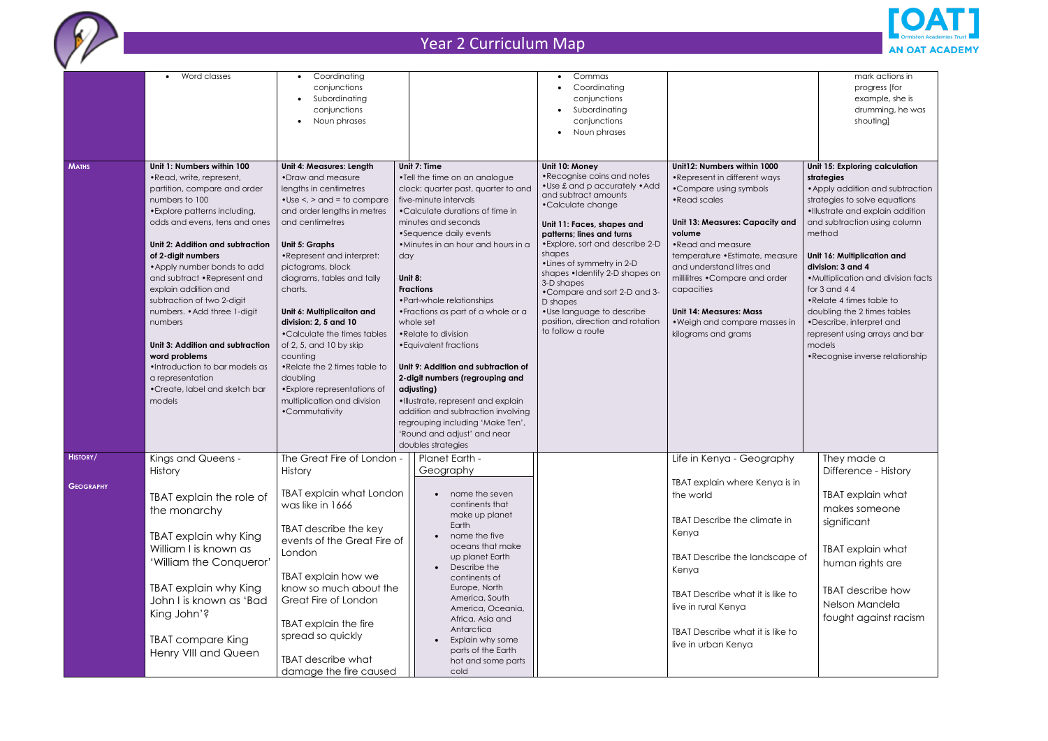

|                  | • Word classes                   | Coordinating<br>$\bullet$                    |         |                                     | Commas<br>$\bullet$                        |                                  | mark actions in                     |
|------------------|----------------------------------|----------------------------------------------|---------|-------------------------------------|--------------------------------------------|----------------------------------|-------------------------------------|
|                  |                                  | conjunctions                                 |         |                                     | Coordinating                               |                                  | progress [for                       |
|                  |                                  | Subordinating                                |         |                                     | conjunctions                               |                                  | example, she is                     |
|                  |                                  | conjunctions                                 |         |                                     | Subordinating                              |                                  | drumming, he was                    |
|                  |                                  | Noun phrases                                 |         |                                     | conjunctions                               |                                  | shouting]                           |
|                  |                                  |                                              |         |                                     | Noun phrases                               |                                  |                                     |
|                  |                                  |                                              |         |                                     |                                            |                                  |                                     |
| <b>MATHS</b>     | Unit 1: Numbers within 100       | <b>Unit 4: Measures: Length</b>              |         | Unit 7: Time                        | Unit 10: Money                             | Unit12: Numbers within 1000      | Unit 15: Exploring calculation      |
|                  | • Read, write, represent,        | •Draw and measure                            |         | •Tell the time on an analogue       | • Recognise coins and notes                | •Represent in different ways     | strategies                          |
|                  | partition, compare and order     | lengths in centimetres                       |         | clock: quarter past, quarter to and | . Use £ and p accurately . Add             | •Compare using symbols           | • Apply addition and subtraction    |
|                  | numbers to 100                   | $\bullet$ Use $\lt$ , $>$ and $=$ to compare |         | five-minute intervals               | and subtract amounts                       | • Read scales                    | strategies to solve equations       |
|                  | • Explore patterns including,    | and order lengths in metres                  |         | •Calculate durations of time in     | •Calculate change                          |                                  | · Illustrate and explain addition   |
|                  | odds and evens, tens and ones    | and centimetres                              |         | minutes and seconds                 | Unit 11: Faces, shapes and                 | Unit 13: Measures: Capacity and  | and subtraction using column        |
|                  |                                  |                                              |         | •Sequence daily events              | patterns; lines and turns                  | volume                           | method                              |
|                  | Unit 2: Addition and subtraction | <b>Unit 5: Graphs</b>                        |         | • Minutes in an hour and hours in a | • Explore, sort and describe 2-D           | • Read and measure               |                                     |
|                  | of 2-digit numbers               | •Represent and interpret:                    | day     |                                     | shapes                                     | temperature • Estimate, measure  | Unit 16: Multiplication and         |
|                  | • Apply number bonds to add      | pictograms, block                            |         |                                     | • Lines of symmetry in 2-D                 | and understand litres and        | division: 3 and 4                   |
|                  | and subtract • Represent and     | diagrams, tables and tally                   | Unit 8: |                                     | shapes •Identify 2-D shapes on             | millilitres .Compare and order   | • Multiplication and division facts |
|                  | explain addition and             | charts.                                      |         | <b>Fractions</b>                    | 3-D shapes<br>•Compare and sort 2-D and 3- | capacities                       | for $3$ and $44$                    |
|                  | subtraction of two 2-digit       |                                              |         | • Part-whole relationships          | D shapes                                   |                                  | • Relate 4 times table to           |
|                  | numbers. • Add three 1-digit     | Unit 6: Multiplicaiton and                   |         | • Fractions as part of a whole or a | • Use language to describe                 | <b>Unit 14: Measures: Mass</b>   | doubling the 2 times tables         |
|                  | numbers                          | division: 2, 5 and 10                        |         | whole set                           | position, direction and rotation           | . Weigh and compare masses in    | •Describe, interpret and            |
|                  |                                  | •Calculate the times tables                  |         | • Relate to division                | to follow a route                          | kilograms and grams              | represent using arrays and bar      |
|                  | Unit 3: Addition and subtraction | of 2, 5, and 10 by skip                      |         | • Equivalent fractions              |                                            |                                  | models                              |
|                  | word problems                    | counting                                     |         |                                     |                                            |                                  | •Recognise inverse relationship     |
|                  | . Introduction to bar models as  | .Relate the 2 times table to                 |         | Unit 9: Addition and subtraction of |                                            |                                  |                                     |
|                  | a representation                 | doubling                                     |         | 2-digit numbers (regrouping and     |                                            |                                  |                                     |
|                  | • Create, label and sketch bar   | • Explore representations of                 |         | adjusting)                          |                                            |                                  |                                     |
|                  | models                           | multiplication and division                  |         | ·Illustrate, represent and explain  |                                            |                                  |                                     |
|                  |                                  | •Commutativity                               |         | addition and subtraction involving  |                                            |                                  |                                     |
|                  |                                  |                                              |         | regrouping including 'Make Ten',    |                                            |                                  |                                     |
|                  |                                  |                                              |         | 'Round and adjust' and near         |                                            |                                  |                                     |
|                  |                                  |                                              |         | doubles strategies                  |                                            |                                  |                                     |
| <b>HISTORY</b>   | Kings and Queens -               | The Great Fire of London -                   |         | Planet Earth -                      |                                            | Life in Kenya - Geography        | They made a                         |
|                  | History                          | History                                      |         | Geography                           |                                            |                                  | Difference - History                |
| <b>GEOGRAPHY</b> |                                  |                                              |         |                                     |                                            | TBAT explain where Kenya is in   |                                     |
|                  | TBAT explain the role of         | TBAT explain what London                     |         | name the seven                      |                                            | the world                        | TBAT explain what                   |
|                  | the monarchy                     | was like in 1666                             |         | continents that<br>make up planet   |                                            |                                  | makes someone                       |
|                  |                                  |                                              |         | Earth                               |                                            | TBAT Describe the climate in     | significant                         |
|                  | TBAT explain why King            | TBAT describe the key                        |         | name the five                       |                                            | Kenya                            |                                     |
|                  | William I is known as            | events of the Great Fire of                  |         | oceans that make                    |                                            |                                  | TBAT explain what                   |
|                  |                                  | London                                       |         | up planet Earth                     |                                            | TBAT Describe the landscape of   |                                     |
|                  | 'William the Conqueror'          |                                              |         | Describe the                        |                                            | Kenya                            | human rights are                    |
|                  |                                  | TBAT explain how we                          |         | continents of                       |                                            |                                  |                                     |
|                  | TBAT explain why King            | know so much about the                       |         | Europe, North                       |                                            | TBAT Describe what it is like to | TBAT describe how                   |
|                  | John I is known as 'Bad          | Great Fire of London                         |         | America, South                      |                                            | live in rural Kenya              | Nelson Mandela                      |
|                  | King John'?                      |                                              |         | America, Oceania,                   |                                            |                                  | fought against racism               |
|                  |                                  | TBAT explain the fire                        |         | Africa, Asia and<br>Antarctica      |                                            |                                  |                                     |
|                  | <b>TBAT</b> compare King         | spread so quickly                            |         | Explain why some                    |                                            | TBAT Describe what it is like to |                                     |
|                  | Henry VIII and Queen             |                                              |         | parts of the Earth                  |                                            | live in urban Kenya              |                                     |
|                  |                                  | TBAT describe what                           |         | hot and some parts                  |                                            |                                  |                                     |
|                  |                                  | damage the fire caused                       |         | cold                                |                                            |                                  |                                     |

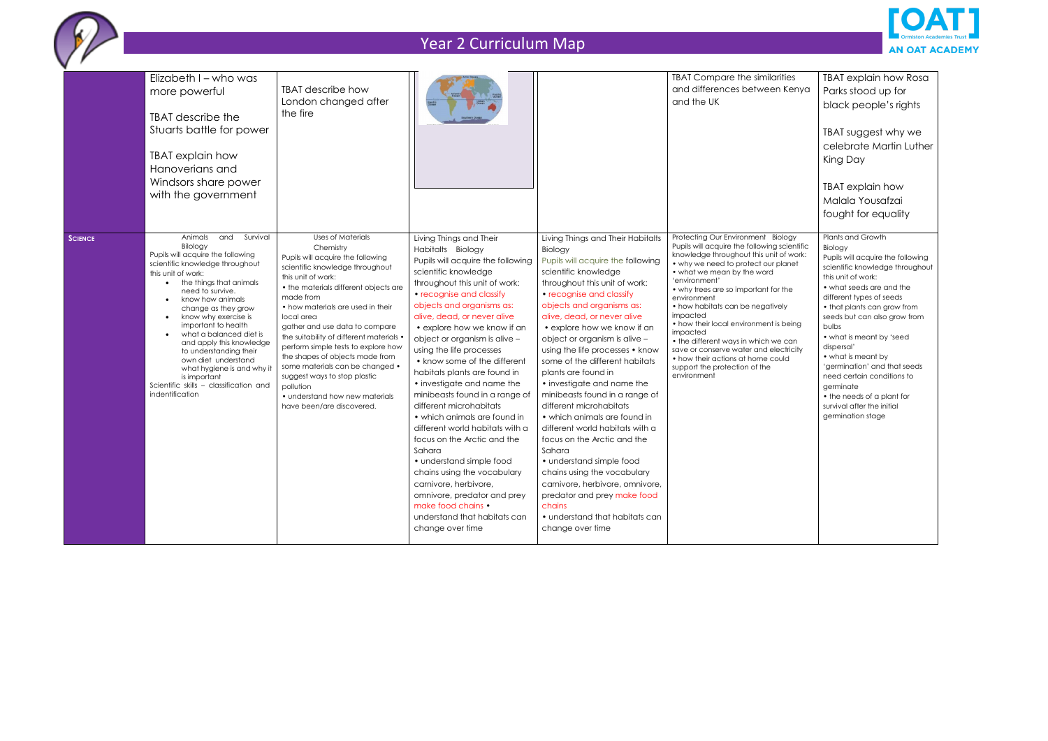

|                | Elizabeth I - who was<br>more powerful<br>TBAT describe the<br>Stuarts battle for power<br>TBAT explain how<br>Hanoverians and<br>Windsors share power<br>with the government                                                                                                                                                                                                                                                                                                                                              | TBAT describe how<br>London changed after<br>the fire                                                                                                                                                                                                                                                                                                                                                                                                                                                                                               |                                                                                                                                                                                                                                                                                                                                                                                                                                                                                                                                                                                                                                                                                                                                                                                                    |                                                                                                                                                                                                                                                                                                                                                                                                                                                                                                                                                                                                                                                                                                                                                                                                           | <b>TBAT Compare the similarities</b><br>and differences between Kenya<br>and the UK                                                                                                                                                                                                                                                                                                                                                                                                                                                                     | TBAT explain how Rosa<br>Parks stood up for<br>black people's rights<br>TBAT suggest why we<br>celebrate Martin Luther<br>King Day<br>TBAT explain how<br>Malala Yousafzai<br>fought for equality                                                                                                                                                                                                                                                                                      |
|----------------|----------------------------------------------------------------------------------------------------------------------------------------------------------------------------------------------------------------------------------------------------------------------------------------------------------------------------------------------------------------------------------------------------------------------------------------------------------------------------------------------------------------------------|-----------------------------------------------------------------------------------------------------------------------------------------------------------------------------------------------------------------------------------------------------------------------------------------------------------------------------------------------------------------------------------------------------------------------------------------------------------------------------------------------------------------------------------------------------|----------------------------------------------------------------------------------------------------------------------------------------------------------------------------------------------------------------------------------------------------------------------------------------------------------------------------------------------------------------------------------------------------------------------------------------------------------------------------------------------------------------------------------------------------------------------------------------------------------------------------------------------------------------------------------------------------------------------------------------------------------------------------------------------------|-----------------------------------------------------------------------------------------------------------------------------------------------------------------------------------------------------------------------------------------------------------------------------------------------------------------------------------------------------------------------------------------------------------------------------------------------------------------------------------------------------------------------------------------------------------------------------------------------------------------------------------------------------------------------------------------------------------------------------------------------------------------------------------------------------------|---------------------------------------------------------------------------------------------------------------------------------------------------------------------------------------------------------------------------------------------------------------------------------------------------------------------------------------------------------------------------------------------------------------------------------------------------------------------------------------------------------------------------------------------------------|----------------------------------------------------------------------------------------------------------------------------------------------------------------------------------------------------------------------------------------------------------------------------------------------------------------------------------------------------------------------------------------------------------------------------------------------------------------------------------------|
| <b>SCIENCE</b> | and<br>Survival<br>Animals<br>Bilology<br>Pupils will acquire the following<br>scientific knowledge throughout<br>this unit of work:<br>the things that animals<br>need to survive.<br>know how animals<br>$\bullet$<br>change as they grow<br>know why exercise is<br>$\bullet$<br>important to health<br>what a balanced diet is<br>and apply this knowledge<br>to understanding their<br>own diet understand<br>what hygiene is and why it<br>is important<br>Scientific skills - classification and<br>indentification | <b>Uses of Materials</b><br>Chemistry<br>Pupils will acquire the following<br>scientific knowledge throughout<br>this unit of work:<br>• the materials different objects are<br>made from<br>• how materials are used in their<br>local area<br>gather and use data to compare<br>the suitability of different materials •<br>perform simple tests to explore how<br>the shapes of objects made from<br>some materials can be changed •<br>suggest ways to stop plastic<br>pollution<br>• understand how new materials<br>have been/are discovered. | Living Things and Their<br>Habitalts Biology<br>Pupils will acquire the following<br>scientific knowledge<br>throughout this unit of work:<br>• recognise and classify<br>objects and organisms as:<br>alive, dead, or never alive<br>• explore how we know if an<br>object or organism is alive -<br>using the life processes<br>• know some of the different<br>habitats plants are found in<br>• investigate and name the<br>minibeasts found in a range of<br>different microhabitats<br>• which animals are found in<br>different world habitats with a<br>focus on the Arctic and the<br>Sahara<br>• understand simple food<br>chains using the vocabulary<br>carnivore, herbivore,<br>omnivore, predator and prey<br>make food chains •<br>understand that habitats can<br>change over time | Living Things and Their Habitalts<br><b>Biology</b><br>Pupils will acquire the following<br>scientific knowledge<br>throughout this unit of work:<br>• recognise and classify<br>objects and organisms as:<br>alive, dead, or never alive<br>• explore how we know if an<br>object or organism is alive -<br>using the life processes • know<br>some of the different habitats<br>plants are found in<br>• investigate and name the<br>minibeasts found in a range of<br>different microhabitats<br>• which animals are found in<br>different world habitats with a<br>focus on the Arctic and the<br>Sahara<br>• understand simple food<br>chains using the vocabulary<br>carnivore, herbivore, omnivore,<br>predator and prey make food<br>chains<br>• understand that habitats can<br>change over time | Protecting Our Environment Biology<br>Pupils will acquire the following scientific<br>knowledge throughout this unit of work:<br>• why we need to protect our planet<br>• what we mean by the word<br>'environment'<br>• why trees are so important for the<br>environment<br>• how habitats can be negatively<br>impacted<br>• how their local environment is being<br>impacted<br>• the different ways in which we can<br>save or conserve water and electricity<br>• how their actions at home could<br>support the protection of the<br>environment | Plants and Growth<br>Biology<br>Pupils will acquire the following<br>scientific knowledge throughout<br>this unit of work:<br>• what seeds are and the<br>different types of seeds<br>• that plants can grow from<br>seeds but can also grow from<br>bulbs<br>• what is meant by 'seed<br>dispersal'<br>• what is meant by<br>'germination' and that seeds<br>need certain conditions to<br>germinate<br>• the needs of a plant for<br>survival after the initial<br>germination stage |

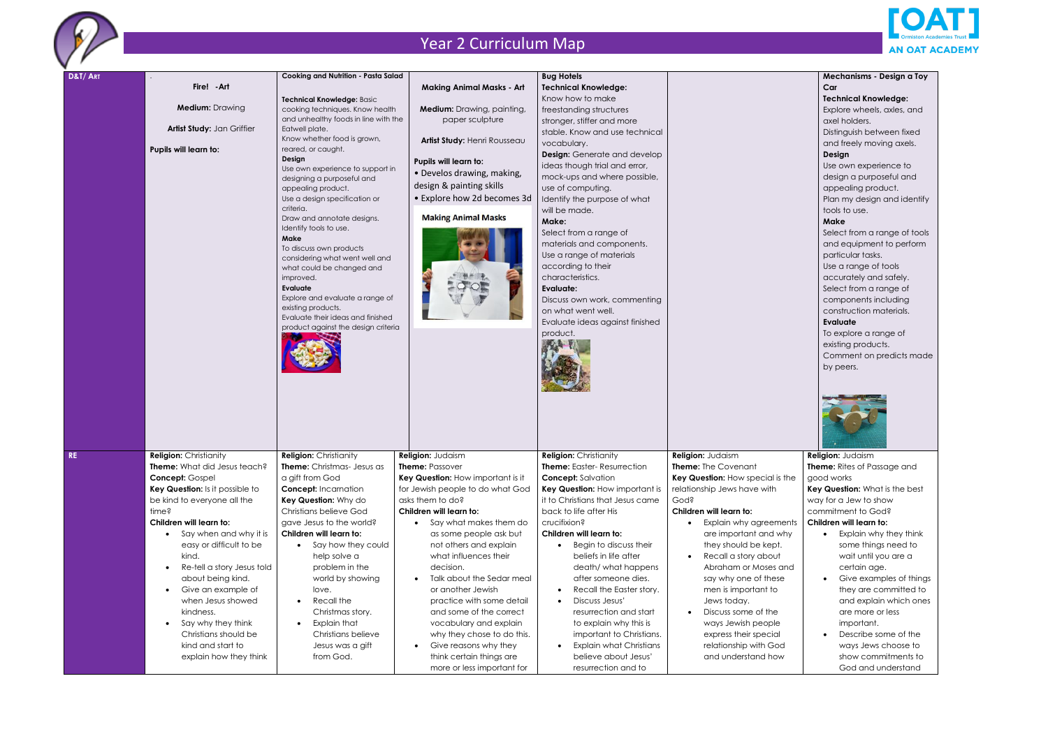

| D&T/ART |                                         | <b>Cooking and Nutrition - Pasta Salad</b> |                                   | <b>Bug Hotels</b>                           |                                  |
|---------|-----------------------------------------|--------------------------------------------|-----------------------------------|---------------------------------------------|----------------------------------|
|         | Fire! - Art                             |                                            | <b>Making Animal Masks - Art</b>  | <b>Technical Knowledge:</b>                 |                                  |
|         |                                         | Technical Knowledge: Basic                 |                                   | Know how to make                            |                                  |
|         | <b>Medium: Drawing</b>                  | cooking techniques. Know health            | Medium: Drawing, painting,        | freestanding structures                     |                                  |
|         |                                         | and unhealthy foods in line with the       | paper sculpture                   | stronger, stiffer and more                  |                                  |
|         | Artist Study: Jan Griffier              | Eatwell plate.                             |                                   | stable. Know and use technical              |                                  |
|         |                                         | Know whether food is grown,                | Artist Study: Henri Rousseau      |                                             |                                  |
|         | Pupils will learn to:                   | reared, or caught.                         |                                   | vocabulary.                                 |                                  |
|         |                                         | Design                                     | Pupils will learn to:             | <b>Design:</b> Generate and develop         |                                  |
|         |                                         | Use own experience to support in           | • Develos drawing, making,        | ideas though trial and error,               |                                  |
|         |                                         | designing a purposeful and                 |                                   | mock-ups and where possible,                |                                  |
|         |                                         | appealing product.                         | design & painting skills          | use of computing.                           |                                  |
|         |                                         | Use a design specification or              | • Explore how 2d becomes 3d       | Identify the purpose of what                |                                  |
|         |                                         | criteria.                                  | <b>Making Animal Masks</b>        | will be made.                               |                                  |
|         |                                         | Draw and annotate designs.                 |                                   | Make:                                       |                                  |
|         |                                         | Identify tools to use.<br>Make             |                                   | Select from a range of                      |                                  |
|         |                                         | To discuss own products                    |                                   | materials and components.                   |                                  |
|         |                                         | considering what went well and             |                                   | Use a range of materials                    |                                  |
|         |                                         | what could be changed and                  |                                   | according to their                          |                                  |
|         |                                         | improved.                                  |                                   | characteristics.                            |                                  |
|         |                                         | Evaluate                                   |                                   | <b>Evaluate:</b>                            |                                  |
|         |                                         | Explore and evaluate a range of            |                                   | Discuss own work, commenting                |                                  |
|         |                                         | existing products.                         |                                   | on what went well.                          |                                  |
|         |                                         | Evaluate their ideas and finished          |                                   | Evaluate ideas against finished             |                                  |
|         |                                         | product against the design criteria        |                                   | product.                                    |                                  |
|         |                                         |                                            |                                   |                                             |                                  |
|         |                                         |                                            |                                   |                                             |                                  |
|         |                                         |                                            |                                   |                                             |                                  |
|         |                                         |                                            |                                   |                                             |                                  |
|         |                                         |                                            |                                   |                                             |                                  |
|         |                                         |                                            |                                   |                                             |                                  |
|         |                                         |                                            |                                   |                                             |                                  |
|         |                                         |                                            |                                   |                                             |                                  |
|         |                                         |                                            |                                   |                                             |                                  |
|         |                                         |                                            |                                   |                                             |                                  |
|         |                                         |                                            |                                   |                                             |                                  |
| RE      | <b>Religion: Christianity</b>           | <b>Religion: Christianity</b>              | Religion: Judaism                 | <b>Religion: Christianity</b>               | Religion: Judaism                |
|         | Theme: What did Jesus teach?            | Theme: Christmas- Jesus as                 | <b>Theme: Passover</b>            | <b>Theme:</b> Easter- Resurrection          | Theme: The Covenant              |
|         | Concept: Gospel                         | a gift from God                            | Key Question: How important is it | <b>Concept:</b> Salvation                   | Key Question: How special is the |
|         | Key Question: Is it possible to         | <b>Concept:</b> Incarnation                | for Jewish people to do what God  | Key Question: How important is              | relationship Jews have with      |
|         | be kind to everyone all the             | Key Question: Why do                       | asks them to do?                  | it to Christians that Jesus came            | Gods                             |
|         | time?                                   | Christians believe God                     | Children will learn to:           | back to life after His                      | Children will learn to:          |
|         | Children will learn to:                 | gave Jesus to the world?                   | Say what makes them do            | crucifixion?                                | Explain why agreements           |
|         | Say when and why it is<br>$\bullet$     | Children will learn to:                    | as some people ask but            | Children will learn to:                     | are important and why            |
|         | easy or difficult to be                 | Say how they could                         | not others and explain            | Begin to discuss their                      | they should be kept.             |
|         | kind.                                   | help solve a                               | what influences their             | beliefs in life after                       | Recall a story about             |
|         |                                         |                                            |                                   |                                             |                                  |
|         | Re-tell a story Jesus told<br>$\bullet$ | problem in the                             | decision.                         | death/ what happens                         | Abraham or Moses and             |
|         | about being kind.                       | world by showing                           | Talk about the Sedar meal         | after someone dies.                         | say why one of these             |
|         | Give an example of<br>$\bullet$         | love.                                      | or another Jewish                 | Recall the Easter story.<br>$\bullet$       | men is important to              |
|         | when Jesus showed                       | Recall the                                 | practice with some detail         | Discuss Jesus'<br>$\bullet$                 | Jews today.                      |
|         | kindness.                               | Christmas story.                           | and some of the correct           | resurrection and start                      | Discuss some of the              |
|         | Say why they think<br>$\bullet$         | Explain that                               | vocabulary and explain            | to explain why this is                      | ways Jewish people               |
|         | Christians should be                    | Christians believe                         | why they chose to do this.        | important to Christians.                    | express their special            |
|         | kind and start to                       | Jesus was a gift                           | Give reasons why they             | <b>Explain what Christians</b><br>$\bullet$ | relationship with God            |
|         | explain how they think                  | from God.                                  | think certain things are          | believe about Jesus'                        | and understand how               |
|         |                                         |                                            | more or less important for        | resurrection and to                         |                                  |



| Mechanisms - Design a Toy                      |  |
|------------------------------------------------|--|
| Car                                            |  |
| <b>Technical Knowledge:</b>                    |  |
| Explore wheels, axles, and                     |  |
| axel holders.                                  |  |
| Distinguish between fixed                      |  |
| and freely moving axels.                       |  |
| Design                                         |  |
| Use own experience to                          |  |
| design a purposeful and                        |  |
| appealing product.                             |  |
| Plan my design and identify                    |  |
| tools to use.<br>Make                          |  |
|                                                |  |
| Select from a range of tools                   |  |
| and equipment to perform<br>particular tasks.  |  |
|                                                |  |
| Use a range of tools<br>accurately and safely. |  |
| Select from a range of                         |  |
| components including                           |  |
| construction materials.                        |  |
| Evaluate                                       |  |
| To explore a range of                          |  |
| existing products.                             |  |
| Comment on predicts made                       |  |
| by peers.                                      |  |
|                                                |  |
|                                                |  |
|                                                |  |
|                                                |  |
|                                                |  |
|                                                |  |
| Religion: Judaism                              |  |
| <b>Theme:</b> Rites of Passage and             |  |
| good works                                     |  |
| Key Question: What is the best                 |  |
| way for a Jew to show                          |  |
| commitment to God?                             |  |
| Children will learn to:                        |  |
| Explain why they think                         |  |
| some things need to                            |  |
| wait until you are a                           |  |
| certain age.                                   |  |
|                                                |  |
| Give examples of things                        |  |
| they are committed to                          |  |
| and explain which ones                         |  |
| are more or less                               |  |
| important.                                     |  |
| Describe some of the                           |  |
| ways Jews choose to                            |  |
| show commitments to<br>God and understand      |  |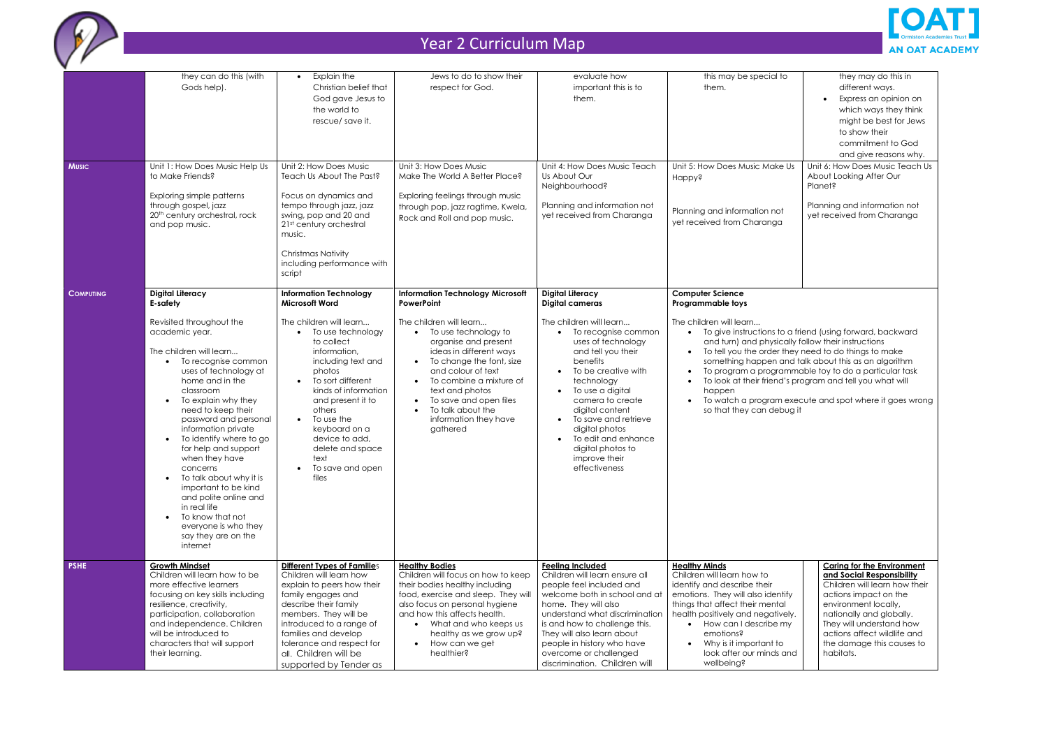

|                  | they can do this (with                                                                                                                                                                                                                                                                                                                                                                                                                                                                                                                                | Explain the<br>$\bullet$                                                                                                                                                                                                                                                                                                                                                             | Jews to do to show their                                                                                                                                                                                                                                                                                                                                                  | evaluate how                                                                                                                                                                                                                                                                                                                                                                                                               | this may be special to                                                                                                                                                                                                                                                                                     | they may do this in                                                                                                                                                                                                                                                                               |
|------------------|-------------------------------------------------------------------------------------------------------------------------------------------------------------------------------------------------------------------------------------------------------------------------------------------------------------------------------------------------------------------------------------------------------------------------------------------------------------------------------------------------------------------------------------------------------|--------------------------------------------------------------------------------------------------------------------------------------------------------------------------------------------------------------------------------------------------------------------------------------------------------------------------------------------------------------------------------------|---------------------------------------------------------------------------------------------------------------------------------------------------------------------------------------------------------------------------------------------------------------------------------------------------------------------------------------------------------------------------|----------------------------------------------------------------------------------------------------------------------------------------------------------------------------------------------------------------------------------------------------------------------------------------------------------------------------------------------------------------------------------------------------------------------------|------------------------------------------------------------------------------------------------------------------------------------------------------------------------------------------------------------------------------------------------------------------------------------------------------------|---------------------------------------------------------------------------------------------------------------------------------------------------------------------------------------------------------------------------------------------------------------------------------------------------|
|                  | Gods help).                                                                                                                                                                                                                                                                                                                                                                                                                                                                                                                                           | Christian belief that<br>God gave Jesus to<br>the world to<br>rescue/ save it.                                                                                                                                                                                                                                                                                                       | respect for God.                                                                                                                                                                                                                                                                                                                                                          | important this is to<br>them.                                                                                                                                                                                                                                                                                                                                                                                              | them.                                                                                                                                                                                                                                                                                                      | different ways.<br>Express an opinion on<br>$\bullet$<br>which ways they think<br>might be best for Jews<br>to show their<br>commitment to God<br>and give reasons why.                                                                                                                           |
| <b>Music</b>     | Unit 1: How Does Music Help Us<br>to Make Friends?<br>Exploring simple patterns<br>through gospel, jazz<br>20 <sup>th</sup> century orchestral, rock<br>and pop music.                                                                                                                                                                                                                                                                                                                                                                                | Unit 2: How Does Music<br>Teach Us About The Past?<br>Focus on dynamics and<br>tempo through jazz, jazz<br>swing, pop and 20 and<br>21st century orchestral<br>music.<br><b>Christmas Nativity</b><br>including performance with<br>script                                                                                                                                           | Unit 3: How Does Music<br>Make The World A Better Place?<br>Exploring feelings through music<br>through pop, jazz ragtime, Kwela,<br>Rock and Roll and pop music.                                                                                                                                                                                                         | Unit 4: How Does Music Teach<br>Us About Our<br>Neighbourhood?<br>Planning and information not<br>yet received from Charanga                                                                                                                                                                                                                                                                                               | Unit 5: How Does Music Make Us<br>Happy?<br>Planning and information not<br>yet received from Charanga                                                                                                                                                                                                     | Unit 6: How Does Music Teach Us<br>About Looking After Our<br>Planet?<br>Planning and information not<br>yet received from Charanga                                                                                                                                                               |
| <b>COMPUTING</b> | <b>Digital Literacy</b><br>E-safety<br>Revisited throughout the<br>academic year.<br>The children will learn<br>To recognise common<br>uses of technology at<br>home and in the<br>classroom<br>To explain why they<br>need to keep their<br>password and personal<br>information private<br>To identify where to go<br>for help and support<br>when they have<br>concerns<br>To talk about why it is<br>important to be kind<br>and polite online and<br>in real life<br>To know that not<br>everyone is who they<br>say they are on the<br>internet | <b>Information Technology</b><br><b>Microsoft Word</b><br>The children will learn<br>To use technology<br>to collect<br>information,<br>including text and<br>photos<br>To sort different<br>$\bullet$<br>kinds of information<br>and present it to<br>others<br>To use the<br>$\bullet$<br>keyboard on a<br>device to add,<br>delete and space<br>text<br>To save and open<br>files | <b>Information Technology Microsoft</b><br>PowerPoint<br>The children will learn<br>To use technology to<br>organise and present<br>ideas in different ways<br>To change the font, size<br>$\bullet$<br>and colour of text<br>To combine a mixture of<br>$\bullet$<br>text and photos<br>To save and open files<br>To talk about the<br>information they have<br>gathered | <b>Digital Literacy</b><br><b>Digital cameras</b><br>The children will learn<br>To recognise common<br>uses of technology<br>and tell you their<br>benefits<br>To be creative with<br>$\bullet$<br>technology<br>To use a digital<br>$\bullet$<br>camera to create<br>digital content<br>To save and retrieve<br>$\bullet$<br>digital photos<br>To edit and enhance<br>digital photos to<br>improve their<br>effectiveness | <b>Computer Science</b><br>Programmable toys<br>The children will learn<br>and turn) and physically follow their instructions<br>To tell you the order they need to do things to make<br>happen<br>so that they can debug it                                                                               | To give instructions to a friend (using forward, backward<br>something happen and talk about this as an algorithm<br>To program a programmable toy to do a particular task<br>To look at their friend's program and tell you what will<br>To watch a program execute and spot where it goes wrong |
| <b>PSHE</b>      | <b>Growth Mindset</b><br>Children will learn how to be<br>more effective learners<br>focusing on key skills including<br>resilience, creativity,<br>participation, collaboration<br>and independence. Children<br>will be introduced to<br>characters that will support<br>their learning.                                                                                                                                                                                                                                                            | <b>Different Types of Families</b><br>Children will learn how<br>explain to peers how their<br>family engages and<br>describe their family<br>members. They will be<br>introduced to a range of<br>families and develop<br>tolerance and respect for<br>all. Children will be<br>supported by Tender as                                                                              | <b>Healthy Bodies</b><br>Children will focus on how to keep<br>their bodies healthy including<br>food, exercise and sleep. They will<br>also focus on personal hygiene<br>and how this affects health.<br>What and who keeps us<br>healthy as we grow up?<br>How can we get<br>$\bullet$<br>healthier?                                                                    | <b>Feeling Included</b><br>Children will learn ensure all<br>people feel included and<br>welcome both in school and at<br>home. They will also<br>understand what discrimination<br>is and how to challenge this.<br>They will also learn about<br>people in history who have<br>overcome or challenged<br>discrimination. Children will                                                                                   | <b>Healthy Minds</b><br>Children will learn how to<br>identify and describe their<br>emotions. They will also identify<br>things that affect their mental<br>health positively and negatively.<br>• How can I describe my<br>emotions?<br>Why is it important to<br>look after our minds and<br>wellbeing? | <b>Caring for the Environment</b><br>and Social Responsibility<br>Children will learn how their<br>actions impact on the<br>environment locally,<br>nationally and globally.<br>They will understand how<br>actions affect wildlife and<br>the damage this causes to<br>habitats.                 |

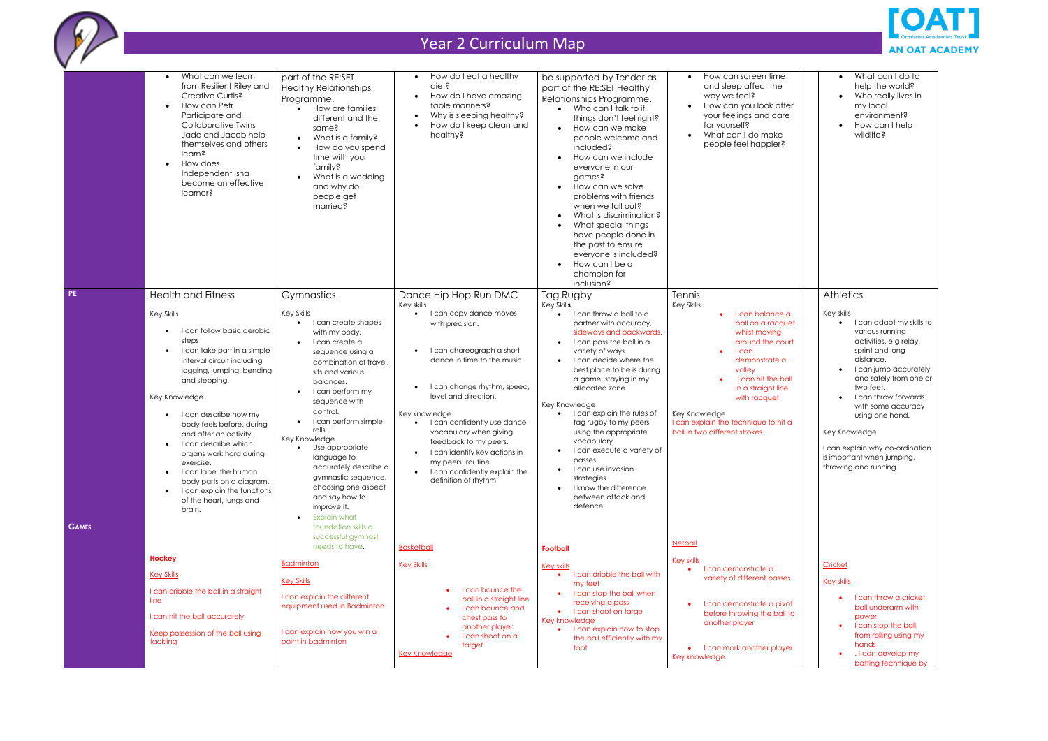|                           | What can we learn<br>$\bullet$<br>from Resilient Riley and<br>Creative Curtis?<br>How can Petr<br>$\bullet$<br>Participate and<br><b>Collaborative Twins</b><br>Jade and Jacob help<br>themselves and others<br>learn?<br>How does<br>$\bullet$<br>Independent Isha<br>become an effective<br>learner?                                                                                                                                                                                                                                         | part of the RE:SET<br><b>Healthy Relationships</b><br>Programme.<br>How are families<br>$\bullet$<br>different and the<br>same?<br>What is a family?<br>How do you spend<br>time with your<br>family?<br>What is a wedding<br>and why do<br>people get<br>married?                                                                                                                                                                                                                | How do I eat a healthy<br>$\bullet$<br>diet?<br>How do I have amazing<br>table manners?<br>Why is sleeping healthy?<br>How do I keep clean and<br>healthy?                                                                                                                                                                                                                                                              | be supported by Tender as<br>part of the RE:SET Healthy<br>Relationships Programme.<br>• Who can I talk to if<br>things don't feel right?<br>How can we make<br>people welcome and<br>included?<br>How can we include<br>$\bullet$<br>everyone in our<br>games?<br>How can we solve<br>$\bullet$<br>problems with friends<br>when we fall out?<br>What is discrimination?<br>$\bullet$<br>What special things<br>$\bullet$<br>have people done in<br>the past to ensure<br>everyone is included?<br>How can I be a<br>$\bullet$<br>champion for<br>inclusion?     | How can screen time<br>and sleep affect the<br>way we feel?<br>How can you look after<br>your feelings and care<br>for yourself?<br>What can I do make<br>people feel happier?                                                                                                                       |
|---------------------------|------------------------------------------------------------------------------------------------------------------------------------------------------------------------------------------------------------------------------------------------------------------------------------------------------------------------------------------------------------------------------------------------------------------------------------------------------------------------------------------------------------------------------------------------|-----------------------------------------------------------------------------------------------------------------------------------------------------------------------------------------------------------------------------------------------------------------------------------------------------------------------------------------------------------------------------------------------------------------------------------------------------------------------------------|-------------------------------------------------------------------------------------------------------------------------------------------------------------------------------------------------------------------------------------------------------------------------------------------------------------------------------------------------------------------------------------------------------------------------|-------------------------------------------------------------------------------------------------------------------------------------------------------------------------------------------------------------------------------------------------------------------------------------------------------------------------------------------------------------------------------------------------------------------------------------------------------------------------------------------------------------------------------------------------------------------|------------------------------------------------------------------------------------------------------------------------------------------------------------------------------------------------------------------------------------------------------------------------------------------------------|
| <b>PE</b><br><b>GAMES</b> | <b>Health and Fitness</b><br><b>Key Skills</b><br>I can follow basic aerobic<br>$\bullet$<br>steps<br>I can take part in a simple<br>$\bullet$<br>interval circuit including<br>jogging, jumping, bending<br>and stepping.<br>Key Knowledge<br>I can describe how my<br>body feels before, during<br>and after an activity.<br>I can describe which<br>$\bullet$<br>organs work hard during<br>exercise.<br>I can label the human<br>body parts on a diagram.<br>I can explain the functions<br>$\bullet$<br>of the heart, lungs and<br>brain. | Gymnastics<br><b>Key Skills</b><br>I can create shapes<br>$\bullet$<br>with my body.<br>I can create a<br>sequence using a<br>combination of travel.<br>sits and various<br>balances.<br>I can perform my<br>sequence with<br>control.<br>I can perform simple<br>rolls.<br>Key Knowledge<br>Use appropriate<br>language to<br>accurately describe a<br>gymnastic sequence,<br>choosing one aspect<br>and say how to<br>improve it.<br><b>Explain what</b><br>foundation skills a | Dance Hip Hop Run DMC<br>Key skills<br>I can copy dance moves<br>with precision.<br>I can choreograph a short<br>dance in time to the music.<br>I can change rhythm, speed,<br>level and direction.<br>Key knowledge<br>I can confidently use dance<br>vocabulary when giving<br>feedback to my peers.<br>I can identify key actions in<br>my peers' routine.<br>I can confidently explain the<br>definition of rhythm. | <b>Tag Rugby</b><br>Key Skills<br>I can throw a ball to a<br>partner with accuracy,<br>sideways and backwards.<br>I can pass the ball in a<br>$\bullet$<br>variety of ways.<br>I can decide where the<br>$\bullet$<br>best place to be is during<br>a game, staying in my<br>allocated zone<br>Key Knowledge<br>I can explain the rules of<br>tag rugby to my peers<br>using the appropriate<br>vocabulary.<br>I can execute a variety of<br>passes.<br>I can use invasion<br>strategies.<br>I know the difference<br>$\bullet$<br>between attack and<br>defence. | Tennis<br><b>Key Skills</b><br>I can balance a<br>ball on a racquet<br>whilst moving<br>around the court<br>$l$ can<br>demonstrate a<br>volley<br>I can hit the ball<br>in a straight line<br>with racquet<br>Key Knowledge<br>I can explain the technique to hit a<br>ball in two different strokes |
|                           | <b>Hockey</b><br><b>Key Skills</b><br>I can dribble the ball in a straight<br>line<br>I can hit the ball accurately<br>Keep possession of the ball using<br>tackling                                                                                                                                                                                                                                                                                                                                                                           | successful gymnast<br>needs to have.<br><b>Badminton</b><br><b>Key Skills</b><br>I can explain the different<br>equipment used in Badminton<br>I can explain how you win a<br>point in badminton                                                                                                                                                                                                                                                                                  | <b>Basketball</b><br><b>Key Skills</b><br>I can bounce the<br>ball in a straight line<br>I can bounce and<br>chest pass to<br>another player<br>I can shoot on a<br>target<br><b>Key Knowledge</b>                                                                                                                                                                                                                      | <b>Football</b><br><b>Key skills</b><br>I can dribble the ball with<br>my feet<br>I can stop the ball when<br>receiving a pass<br>I can shoot on targe<br><b>Key knowledge</b><br>I can explain how to stop<br>the ball efficiently with my<br>foot                                                                                                                                                                                                                                                                                                               | <b>Netball</b><br><b>Key skills</b><br>I can demonstrate a<br>variety of different passes<br>I can demonstrate a pivot<br>before throwing the ball to<br>another player<br>• I can mark another player<br>Key knowledge                                                                              |



| ۱r | What can I do to<br>help the world?<br>Who really lives in<br>my local<br>environment?<br>How can I help<br>wildlife? |
|----|-----------------------------------------------------------------------------------------------------------------------|
|    | <b>Athletics</b>                                                                                                      |
| эt | Key skills<br>I can adapt my skills to<br>various running                                                             |
| ϯ  | activities, e.g relay,<br>sprint and long<br>distance.                                                                |
| I  | I can jump accurately<br>and safely from one or<br>two feet.                                                          |
| J  | I can throw forwards<br>with some accuracy<br>using one hand.                                                         |
|    | Key Knowledge                                                                                                         |
|    | I can explain why co-ordination<br>is important when jumping,<br>throwing and running.                                |
|    |                                                                                                                       |
|    | Cricket                                                                                                               |
|    | <b>Key skills</b>                                                                                                     |
| t  | I can throw a cricket<br>ball underarm with                                                                           |
| Ö  | power<br>I can stop the ball                                                                                          |
| r  | from rolling using my<br>hands<br>. I can develop my                                                                  |
|    | batting technique by                                                                                                  |